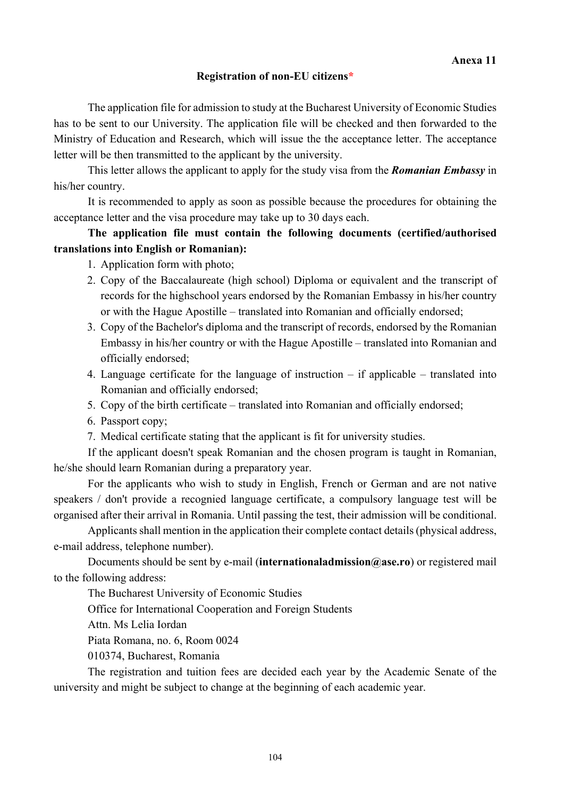#### **Registration of non-EU citizens\***

The application file for admission to study at the Bucharest University of Economic Studies has to be sent to our University. The application file will be checked and then forwarded to the Ministry of Education and Research, which will issue the the acceptance letter. The acceptance letter will be then transmitted to the applicant by the university.

This letter allows the applicant to apply for the study visa from the *Romanian Embassy* in his/her country.

It is recommended to apply as soon as possible because the procedures for obtaining the acceptance letter and the visa procedure may take up to 30 days each.

## **The application file must contain the following documents (certified/authorised translations into English or Romanian):**

1. Application form with photo;

- 2. Copy of the Baccalaureate (high school) Diploma or equivalent and the transcript of records for the highschool years endorsed by the Romanian Embassy in his/her country or with the Hague Apostille – translated into Romanian and officially endorsed;
- 3. Copy of the Bachelor's diploma and the transcript of records, endorsed by the Romanian Embassy in his/her country or with the Hague Apostille – translated into Romanian and officially endorsed;
- 4. Language certificate for the language of instruction if applicable translated into Romanian and officially endorsed;
- 5. Copy of the birth certificate translated into Romanian and officially endorsed;
- 6. Passport copy;
- 7. Medical certificate stating that the applicant is fit for university studies.

If the applicant doesn't speak Romanian and the chosen program is taught in Romanian, he/she should learn Romanian during a preparatory year.

For the applicants who wish to study in English, French or German and are not native speakers / don't provide a recognied language certificate, a compulsory language test will be organised after their arrival in Romania. Until passing the test, their admission will be conditional.

Applicants shall mention in the application their complete contact details (physical address, e-mail address, telephone number).

Documents should be sent by e-mail (**internationaladmission@ase.ro**) or registered mail to the following address:

The Bucharest University of Economic Studies

Office for International Cooperation and Foreign Students

Attn. Ms Lelia Iordan

Piata Romana, no. 6, Room 0024

010374, Bucharest, Romania

The registration and tuition fees are decided each year by the Academic Senate of the university and might be subject to change at the beginning of each academic year.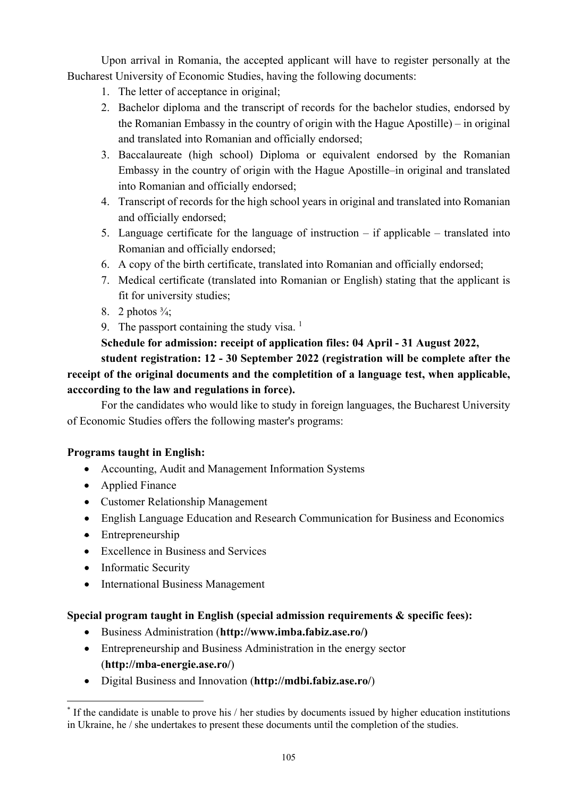Upon arrival in Romania, the accepted applicant will have to register personally at the Bucharest University of Economic Studies, having the following documents:

- 1. The letter of acceptance in original;
- 2. Bachelor diploma and the transcript of records for the bachelor studies, endorsed by the Romanian Embassy in the country of origin with the Hague Apostille) – in original and translated into Romanian and officially endorsed;
- 3. Baccalaureate (high school) Diploma or equivalent endorsed by the Romanian Embassy in the country of origin with the Hague Apostille–in original and translated into Romanian and officially endorsed;
- 4. Transcript of records for the high school years in original and translated into Romanian and officially endorsed;
- 5. Language certificate for the language of instruction if applicable translated into Romanian and officially endorsed;
- 6. A copy of the birth certificate, translated into Romanian and officially endorsed;
- 7. Medical certificate (translated into Romanian or English) stating that the applicant is fit for university studies;
- 8. 2 photos  $\frac{3}{4}$ ;
- 9. The passport containing the study visa.  $<sup>1</sup>$ </sup>

# **Schedule for admission: receipt of application files: 04 April - 31 August 2022,**

**student registration: 12 - 30 September 2022 (registration will be complete after the receipt of the original documents and the completition of a language test, when applicable, acccording to the law and regulations in force).** 

For the candidates who would like to study in foreign languages, the Bucharest University of Economic Studies offers the following master's programs:

# **Programs taught in English:**

- Accounting, Audit and Management Information Systems
- Applied Finance
- Customer Relationship Management
- English Language Education and Research Communication for Business and Economics
- Entrepreneurship
- Excellence in Business and Services
- Informatic Security
- International Business Management

### **Special program taught in English (special admission requirements & specific fees):**

- Business Administration (**http://www.imba.fabiz.ase.ro/)**
- Entrepreneurship and Business Administration in the energy sector (**http://mba-energie.ase.ro/**)
- Digital Business and Innovation (**http://mdbi.fabiz.ase.ro/**)

<sup>1</sup> \* If the candidate is unable to prove his / her studies by documents issued by higher education institutions in Ukraine, he / she undertakes to present these documents until the completion of the studies.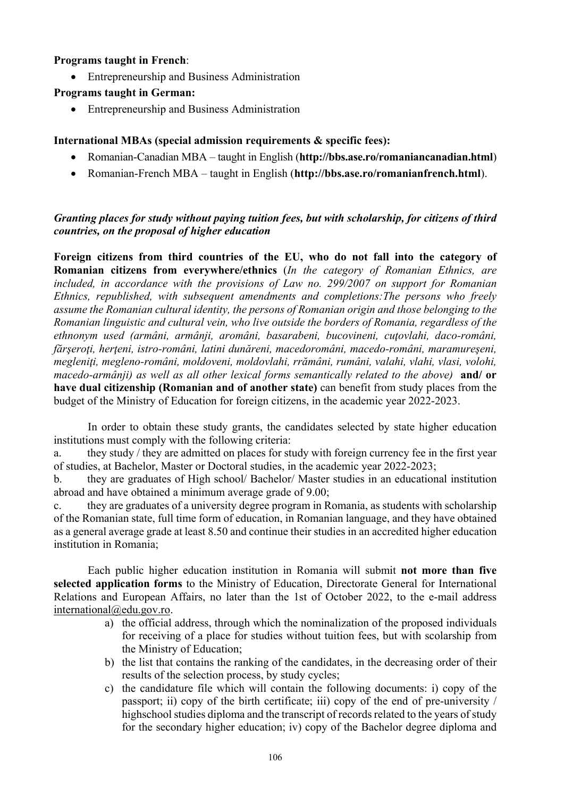#### **Programs taught in French**:

Entrepreneurship and Business Administration

### **Programs taught in German:**

• Entrepreneurship and Business Administration

## **International MBAs (special admission requirements & specific fees):**

- Romanian-Canadian MBA taught in English (**http://bbs.ase.ro/romaniancanadian.html**)
- Romanian-French MBA taught in English (**http://bbs.ase.ro/romanianfrench.html**).

### *Granting places for study without paying tuition fees, but with scholarship, for citizens of third countries, on the proposal of higher education*

**Foreign citizens from third countries of the EU, who do not fall into the category of Romanian citizens from everywhere/ethnics** (*In the category of Romanian Ethnics, are included, in accordance with the provisions of Law no. 299/2007 on support for Romanian Ethnics, republished, with subsequent amendments and completions:The persons who freely assume the Romanian cultural identity, the persons of Romanian origin and those belonging to the Romanian linguistic and cultural vein, who live outside the borders of Romania, regardless of the ethnonym used (armâni, armânji, aromâni, basarabeni, bucovineni, cuţovlahi, daco-români, fărşeroţi, herţeni, istro-români, latini dunăreni, macedoromâni, macedo-români, maramureşeni, megleniţi, megleno-români, moldoveni, moldovlahi, rrămâni, rumâni, valahi, vlahi, vlasi, volohi, macedo-armânji) as well as all other lexical forms semantically related to the above)* **and/ or have dual citizenship (Romanian and of another state)** can benefit from study places from the budget of the Ministry of Education for foreign citizens, in the academic year 2022-2023.

In order to obtain these study grants, the candidates selected by state higher education institutions must comply with the following criteria:

a. they study / they are admitted on places for study with foreign currency fee in the first year of studies, at Bachelor, Master or Doctoral studies, in the academic year 2022-2023;

b. they are graduates of High school/ Bachelor/ Master studies in an educational institution abroad and have obtained a minimum average grade of 9.00;

c. they are graduates of a university degree program in Romania, as students with scholarship of the Romanian state, full time form of education, in Romanian language, and they have obtained as a general average grade at least 8.50 and continue their studies in an accredited higher education institution in Romania;

Each public higher education institution in Romania will submit **not more than five selected application forms** to the Ministry of Education, Directorate General for International Relations and European Affairs, no later than the 1st of October 2022, to the e-mail address international@edu.gov.ro.

- a) the official address, through which the nominalization of the proposed individuals for receiving of a place for studies without tuition fees, but with scolarship from the Ministry of Education;
- b) the list that contains the ranking of the candidates, in the decreasing order of their results of the selection process, by study cycles;
- c) the candidature file which will contain the following documents: i) copy of the passport; ii) copy of the birth certificate; iii) copy of the end of pre-university / highschool studies diploma and the transcript of records related to the years of study for the secondary higher education; iv) copy of the Bachelor degree diploma and